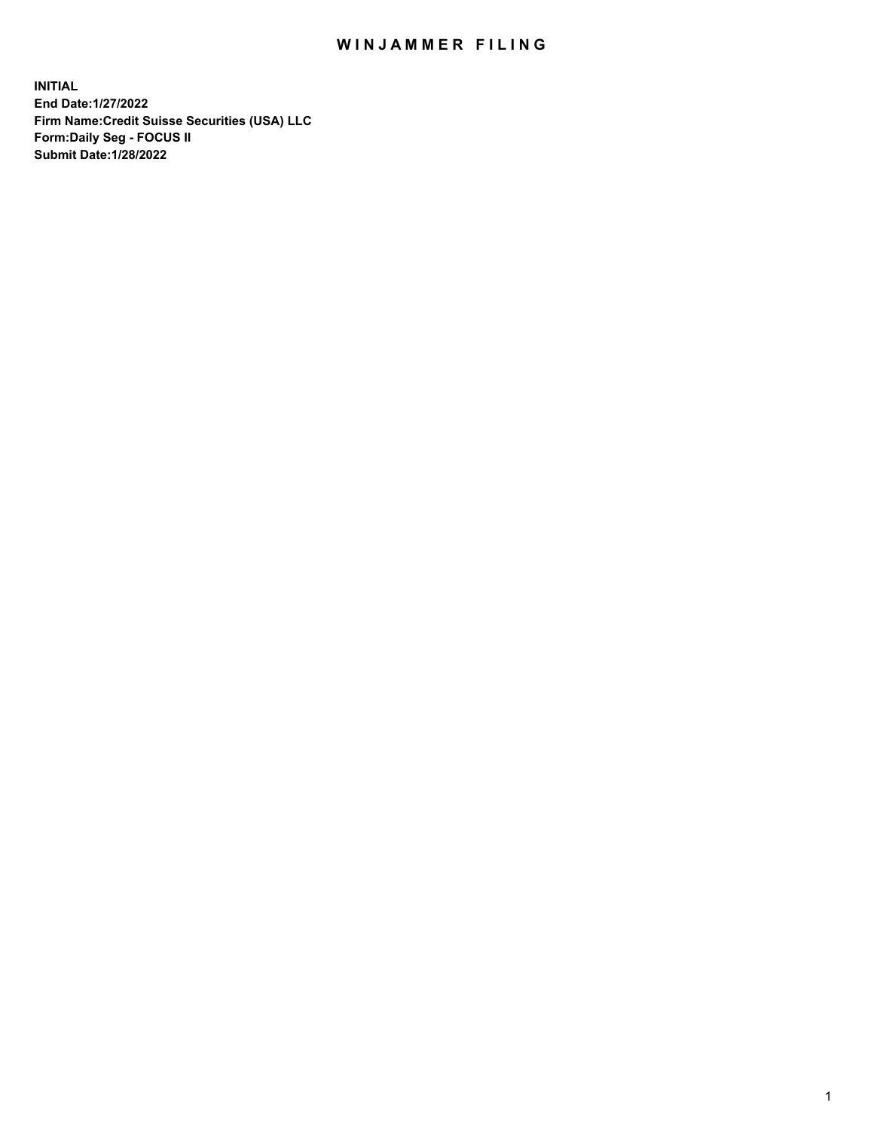## WIN JAMMER FILING

**INITIAL End Date:1/27/2022 Firm Name:Credit Suisse Securities (USA) LLC Form:Daily Seg - FOCUS II Submit Date:1/28/2022**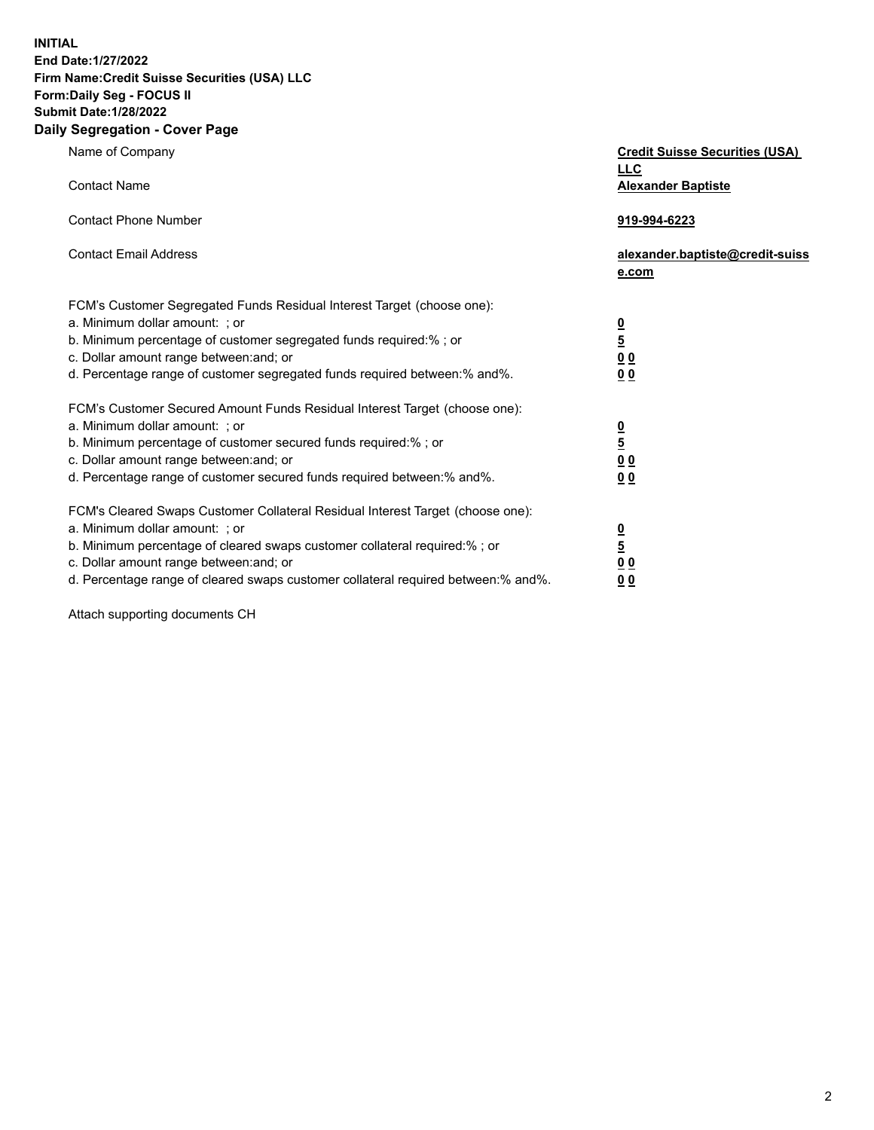**INITIAL End Date:1/27/2022** 

## **Firm Name:Credit Suisse Securities (USA) LLC Form:Daily Seg - FOCUS II Submit Date:1/28/2022**

## **Daily Segregation - Cover Page**

| Name of Company                                                                                                                                                                                                                                                                                                                | <b>Credit Suisse Securities (USA)</b><br><u>LLC</u>                |
|--------------------------------------------------------------------------------------------------------------------------------------------------------------------------------------------------------------------------------------------------------------------------------------------------------------------------------|--------------------------------------------------------------------|
| <b>Contact Name</b>                                                                                                                                                                                                                                                                                                            | <b>Alexander Baptiste</b>                                          |
| <b>Contact Phone Number</b>                                                                                                                                                                                                                                                                                                    | 919-994-6223                                                       |
| <b>Contact Email Address</b>                                                                                                                                                                                                                                                                                                   | alexander.baptiste@credit-suiss<br>e.com                           |
| FCM's Customer Segregated Funds Residual Interest Target (choose one):<br>a. Minimum dollar amount: : or<br>b. Minimum percentage of customer segregated funds required:% ; or<br>c. Dollar amount range between: and; or<br>d. Percentage range of customer segregated funds required between:% and%.                         | $\frac{0}{5}$<br>$\underline{0} \underline{0}$<br>0 <sub>0</sub>   |
| FCM's Customer Secured Amount Funds Residual Interest Target (choose one):<br>a. Minimum dollar amount: ; or<br>b. Minimum percentage of customer secured funds required:%; or<br>c. Dollar amount range between: and; or<br>d. Percentage range of customer secured funds required between:% and%.                            | $\frac{0}{5}$<br>$\underline{0}$ $\underline{0}$<br>0 <sub>0</sub> |
| FCM's Cleared Swaps Customer Collateral Residual Interest Target (choose one):<br>a. Minimum dollar amount: ; or<br>b. Minimum percentage of cleared swaps customer collateral required:% ; or<br>c. Dollar amount range between: and; or<br>d. Percentage range of cleared swaps customer collateral required between:% and%. | $\frac{0}{5}$<br>0 <sub>0</sub><br>0 <sub>0</sub>                  |

Attach supporting documents CH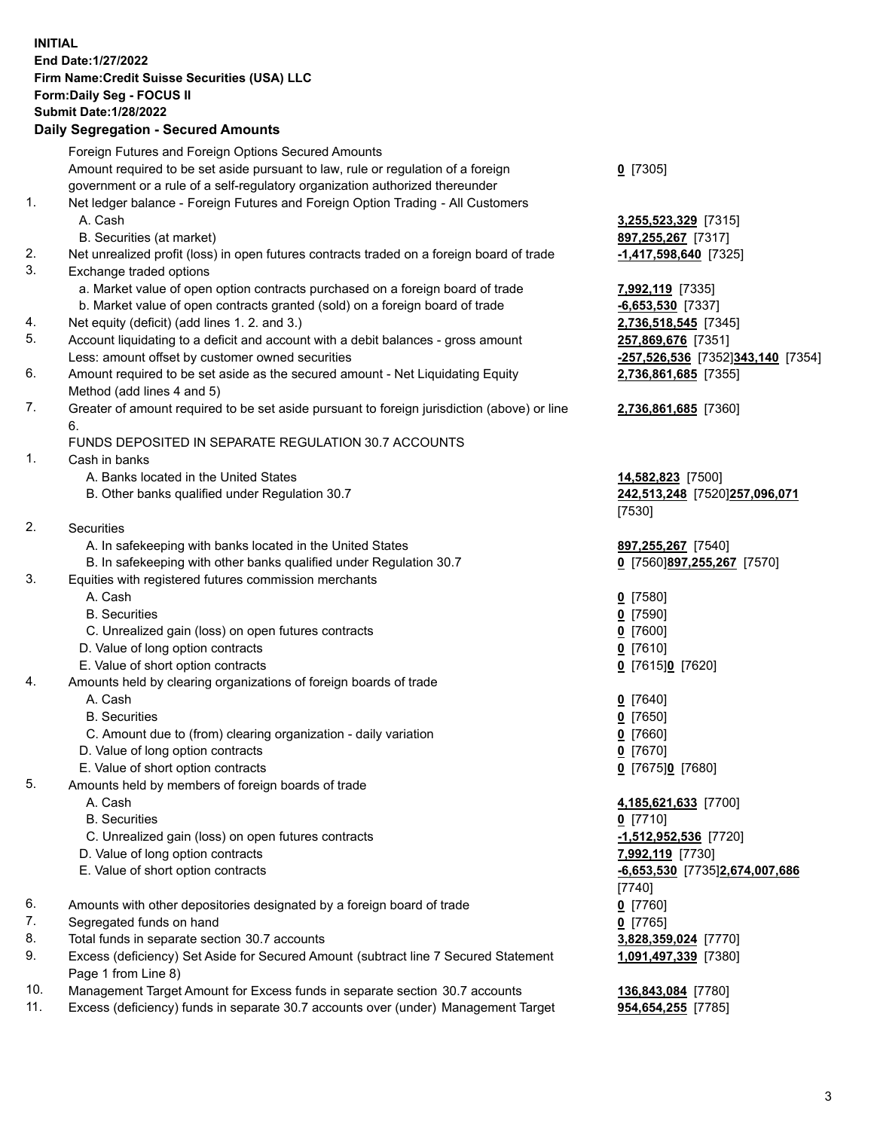**INITIAL End Date:1/27/2022 Firm Name:Credit Suisse Securities (USA) LLC Form:Daily Seg - FOCUS II Submit Date:1/28/2022** 

## **Daily Segregation - Secured Amounts**

|          | Foreign Futures and Foreign Options Secured Amounts                                                        |                                          |
|----------|------------------------------------------------------------------------------------------------------------|------------------------------------------|
|          | Amount required to be set aside pursuant to law, rule or regulation of a foreign                           | $Q$ [7305]                               |
|          | government or a rule of a self-regulatory organization authorized thereunder                               |                                          |
| 1.       | Net ledger balance - Foreign Futures and Foreign Option Trading - All Customers                            |                                          |
|          | A. Cash                                                                                                    | 3,255,523,329 [7315]                     |
|          | B. Securities (at market)                                                                                  | 897,255,267 [7317]                       |
| 2.       | Net unrealized profit (loss) in open futures contracts traded on a foreign board of trade                  | -1,417,598,640 [7325]                    |
| 3.       | Exchange traded options                                                                                    |                                          |
|          | a. Market value of open option contracts purchased on a foreign board of trade                             | 7,992,119 [7335]                         |
|          | b. Market value of open contracts granted (sold) on a foreign board of trade                               | $-6,653,530$ [7337]                      |
| 4.       | Net equity (deficit) (add lines 1. 2. and 3.)                                                              | 2,736,518,545 [7345]                     |
| 5.       | Account liquidating to a deficit and account with a debit balances - gross amount                          | 257,869,676 [7351]                       |
|          | Less: amount offset by customer owned securities                                                           |                                          |
| 6.       | Amount required to be set aside as the secured amount - Net Liquidating Equity                             | -257,526,536 [7352]343,140 [7354]        |
|          |                                                                                                            | 2,736,861,685 [7355]                     |
| 7.       | Method (add lines 4 and 5)                                                                                 |                                          |
|          | Greater of amount required to be set aside pursuant to foreign jurisdiction (above) or line<br>6.          | 2,736,861,685 [7360]                     |
|          | FUNDS DEPOSITED IN SEPARATE REGULATION 30.7 ACCOUNTS                                                       |                                          |
| 1.       | Cash in banks                                                                                              |                                          |
|          | A. Banks located in the United States                                                                      |                                          |
|          | B. Other banks qualified under Regulation 30.7                                                             | 14,582,823 [7500]                        |
|          |                                                                                                            | 242,513,248 [7520]257,096,071            |
| 2.       | Securities                                                                                                 | [7530]                                   |
|          | A. In safekeeping with banks located in the United States                                                  |                                          |
|          |                                                                                                            | 897,255,267 [7540]                       |
| 3.       | B. In safekeeping with other banks qualified under Regulation 30.7                                         | 0 [7560]897,255,267 [7570]               |
|          | Equities with registered futures commission merchants                                                      |                                          |
|          | A. Cash                                                                                                    | $0$ [7580]                               |
|          | <b>B.</b> Securities                                                                                       | $0$ [7590]                               |
|          | C. Unrealized gain (loss) on open futures contracts                                                        | $Q$ [7600]                               |
|          | D. Value of long option contracts                                                                          | $0$ [7610]                               |
|          | E. Value of short option contracts                                                                         | 0 [7615]0 [7620]                         |
| 4.       | Amounts held by clearing organizations of foreign boards of trade                                          |                                          |
|          | A. Cash                                                                                                    | $0$ [7640]                               |
|          | <b>B.</b> Securities                                                                                       | $0$ [7650]                               |
|          | C. Amount due to (from) clearing organization - daily variation                                            | $0$ [7660]                               |
|          | D. Value of long option contracts                                                                          | $0$ [7670]                               |
|          | E. Value of short option contracts                                                                         | $0$ [7675] $0$ [7680]                    |
| 5.       | Amounts held by members of foreign boards of trade                                                         |                                          |
|          | A. Cash                                                                                                    | 4,185,621,633 [7700]                     |
|          | <b>B.</b> Securities                                                                                       | $0$ [7710]                               |
|          | C. Unrealized gain (loss) on open futures contracts                                                        | $-1,512,952,536$ [7720]                  |
|          | D. Value of long option contracts                                                                          | 7,992,119 [7730]                         |
|          | E. Value of short option contracts                                                                         | -6,653,530 [7735]2,674,007,686           |
| 6.       |                                                                                                            | [7740]                                   |
| 7.       | Amounts with other depositories designated by a foreign board of trade                                     | $0$ [7760]                               |
|          | Segregated funds on hand                                                                                   | $0$ [7765]                               |
| 8.<br>9. | Total funds in separate section 30.7 accounts                                                              | 3,828,359,024 [7770]                     |
|          | Excess (deficiency) Set Aside for Secured Amount (subtract line 7 Secured Statement<br>Page 1 from Line 8) | 1,091,497,339 [7380]                     |
| 10.      | Management Target Amount for Excess funds in separate section 30.7 accounts                                |                                          |
| 11.      | Excess (deficiency) funds in separate 30.7 accounts over (under) Management Target                         | 136,843,084 [7780]<br>954,654,255 [7785] |
|          |                                                                                                            |                                          |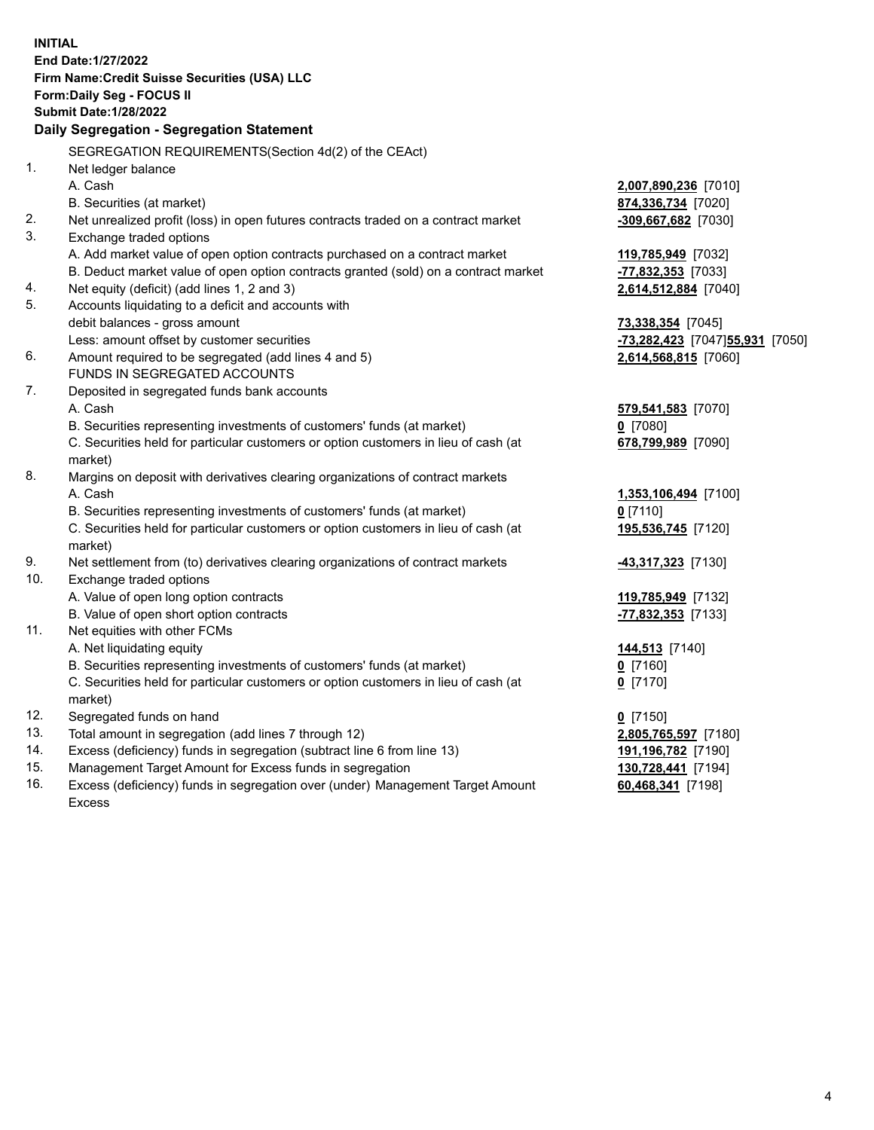| <b>INITIAL</b> |                                                                                     |                                 |
|----------------|-------------------------------------------------------------------------------------|---------------------------------|
|                | End Date: 1/27/2022                                                                 |                                 |
|                | Firm Name: Credit Suisse Securities (USA) LLC                                       |                                 |
|                | Form: Daily Seg - FOCUS II                                                          |                                 |
|                | <b>Submit Date: 1/28/2022</b>                                                       |                                 |
|                | Daily Segregation - Segregation Statement                                           |                                 |
|                | SEGREGATION REQUIREMENTS(Section 4d(2) of the CEAct)                                |                                 |
| 1.             | Net ledger balance                                                                  |                                 |
|                | A. Cash                                                                             | 2,007,890,236 [7010]            |
|                | B. Securities (at market)                                                           | 874,336,734 [7020]              |
| 2.             | Net unrealized profit (loss) in open futures contracts traded on a contract market  | -309,667,682 [7030]             |
| 3.             | Exchange traded options                                                             |                                 |
|                | A. Add market value of open option contracts purchased on a contract market         | 119,785,949 [7032]              |
|                | B. Deduct market value of open option contracts granted (sold) on a contract market | -77,832,353 [7033]              |
| 4.             | Net equity (deficit) (add lines 1, 2 and 3)                                         | 2,614,512,884 [7040]            |
| 5.             | Accounts liquidating to a deficit and accounts with                                 |                                 |
|                | debit balances - gross amount                                                       | 73,338,354 [7045]               |
|                | Less: amount offset by customer securities                                          | -73,282,423 [7047]55,931 [7050] |
| 6.             | Amount required to be segregated (add lines 4 and 5)                                | 2,614,568,815 [7060]            |
|                | FUNDS IN SEGREGATED ACCOUNTS                                                        |                                 |
| 7.             | Deposited in segregated funds bank accounts                                         |                                 |
|                | A. Cash                                                                             | 579,541,583 [7070]              |
|                | B. Securities representing investments of customers' funds (at market)              | $0$ [7080]                      |
|                | C. Securities held for particular customers or option customers in lieu of cash (at | 678,799,989 [7090]              |
|                | market)                                                                             |                                 |
| 8.             | Margins on deposit with derivatives clearing organizations of contract markets      |                                 |
|                | A. Cash                                                                             | 1,353,106,494 [7100]            |
|                | B. Securities representing investments of customers' funds (at market)              | $0$ [7110]                      |
|                | C. Securities held for particular customers or option customers in lieu of cash (at | 195,536,745 [7120]              |
|                | market)                                                                             |                                 |
| 9.             | Net settlement from (to) derivatives clearing organizations of contract markets     | 43,317,323 [7130]               |
| 10.            | Exchange traded options                                                             |                                 |
|                | A. Value of open long option contracts                                              | 119,785,949 [7132]              |
|                | B. Value of open short option contracts                                             | -77,832,353 [7133]              |
| 11.            | Net equities with other FCMs                                                        |                                 |
|                | A. Net liquidating equity                                                           | 144,513 [7140]                  |
|                | B. Securities representing investments of customers' funds (at market)              | 0 [7160]                        |
|                | C. Securities held for particular customers or option customers in lieu of cash (at | $0$ [7170]                      |
|                | market)                                                                             |                                 |
| 12.            | Segregated funds on hand                                                            | $0$ [7150]                      |
| 13.            | Total amount in segregation (add lines 7 through 12)                                | 2,805,765,597 [7180]            |
| 14.            | Excess (deficiency) funds in segregation (subtract line 6 from line 13)             | 191, 196, 782 [7190]            |
| 15.            | Management Target Amount for Excess funds in segregation                            | 130,728,441 [7194]              |
| 16.            | Excess (deficiency) funds in segregation over (under) Management Target Amount      | 60,468,341 [7198]               |
|                | <b>Excess</b>                                                                       |                                 |